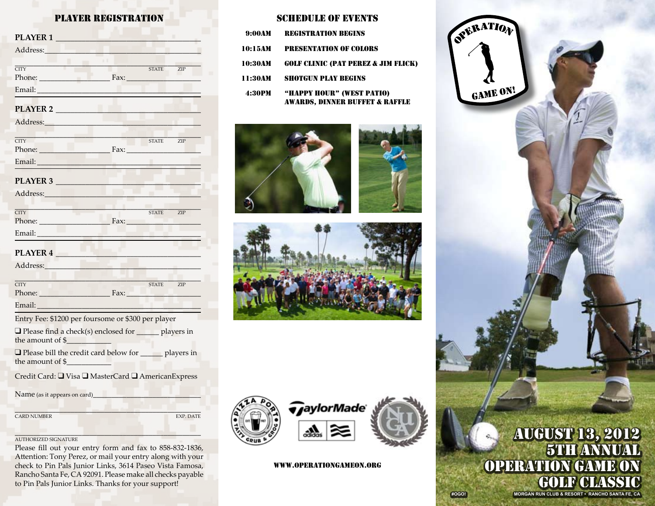# PLAYER REGISTRATION

| PLAYER 1                                                                                                                                                                                                                       |              |     |
|--------------------------------------------------------------------------------------------------------------------------------------------------------------------------------------------------------------------------------|--------------|-----|
| Address: No. 1996                                                                                                                                                                                                              |              |     |
| <b>CITY</b><br>Phone: Fax: Fax:                                                                                                                                                                                                | <b>STATE</b> | ZIP |
| PLAYER 2                                                                                                                                                                                                                       |              |     |
|                                                                                                                                                                                                                                |              |     |
| $\overline{\text{CITY}}$<br>Phone: Fax: Fax:                                                                                                                                                                                   | STATE ZIP    |     |
|                                                                                                                                                                                                                                |              |     |
| PLAYER 3                                                                                                                                                                                                                       |              |     |
|                                                                                                                                                                                                                                |              |     |
| $\overline{\text{CITY}}$<br>Phone: Fax: Fax:                                                                                                                                                                                   | STATE ZIP    |     |
|                                                                                                                                                                                                                                |              |     |
| PLAYER 4                                                                                                                                                                                                                       |              |     |
| Address: Andreas Address: Address: Address: Address: Address: Address: Address: Address: Address: Address: Address: Address: Address: Address: Address: Address: Address: Address: Address: Address: Address: Address: Address |              |     |
| <b>CITY</b><br>Phone: Fax: Fax:                                                                                                                                                                                                | STATE ZIP    |     |
|                                                                                                                                                                                                                                |              |     |

Entry Fee: \$1200 per foursome or \$300 per player

| $\Box$ Please find a check(s) enclosed for | players in |
|--------------------------------------------|------------|
| the amount of $$$                          |            |

 $\Box$  Please bill the credit card below for \_\_\_\_\_\_ players in the amount of \$\_\_\_\_\_\_\_\_\_\_\_\_

Credit Card:  $\Box$  Visa  $\Box$  MasterCard  $\Box$  AmericanExpress

Name (as it appears on card)

**CARD NUMBER** EXP. DATE

 $\Gamma^{(1)}$  , and the set of  $\Gamma$  , and the set of  $\Gamma$ 

#### \_\_\_\_\_\_\_\_\_\_\_\_\_\_\_\_\_\_\_\_\_\_\_\_\_\_\_\_\_\_\_\_\_\_\_\_\_\_\_\_\_\_\_\_\_\_\_\_\_\_ AUTHORIZED SIGNATURE

Please fill out your entry form and fax to 858-832-1836, Attention: Tony Perez, or mail your entry along with your check to Pin Pals Junior Links, 3614 Paseo Vista Famosa, Rancho Santa Fe, CA 92091. Please make all checks payable to Pin Pals Junior Links. Thanks for your support!

### Schedule of events

| 9:00AM  | <b>REGISTRATION BEGINS</b>                                  |
|---------|-------------------------------------------------------------|
| 10:15AM | <b>PRESENTATION OF COLORS</b>                               |
| 10:30AM | <b>GOLF CLINIC (PAT PEREZ &amp; JIM FLICK)</b>              |
| 11:30AM | <b>SHOTGUN PLAY REGINS</b>                                  |
| 4:30PM  | "HAPPY HOUR" (WEST PATIO)<br>AWARDS. DINNER BUFFET & RAFFLE |









#### www.OperationGameOn.org